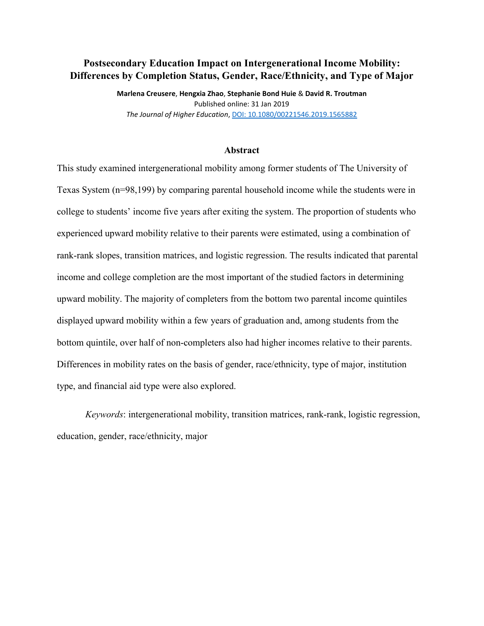# **Postsecondary Education Impact on Intergenerational Income Mobility: Differences by Completion Status, Gender, Race/Ethnicity, and Type of Major**

**Marlena Creusere**, **Hengxia Zhao**, **Stephanie Bond Huie** & **David R. Troutman** Published online: 31 Jan 2019 *The Journal of Higher Education*[, DOI: 10.1080/00221546.2019.1565882](https://www.tandfonline.com/doi/full/10.1080/00221546.2019.1565882)

#### **Abstract**

This study examined intergenerational mobility among former students of The University of Texas System (n=98,199) by comparing parental household income while the students were in college to students' income five years after exiting the system. The proportion of students who experienced upward mobility relative to their parents were estimated, using a combination of rank-rank slopes, transition matrices, and logistic regression. The results indicated that parental income and college completion are the most important of the studied factors in determining upward mobility. The majority of completers from the bottom two parental income quintiles displayed upward mobility within a few years of graduation and, among students from the bottom quintile, over half of non-completers also had higher incomes relative to their parents. Differences in mobility rates on the basis of gender, race/ethnicity, type of major, institution type, and financial aid type were also explored.

*Keywords*: intergenerational mobility, transition matrices, rank-rank, logistic regression, education, gender, race/ethnicity, major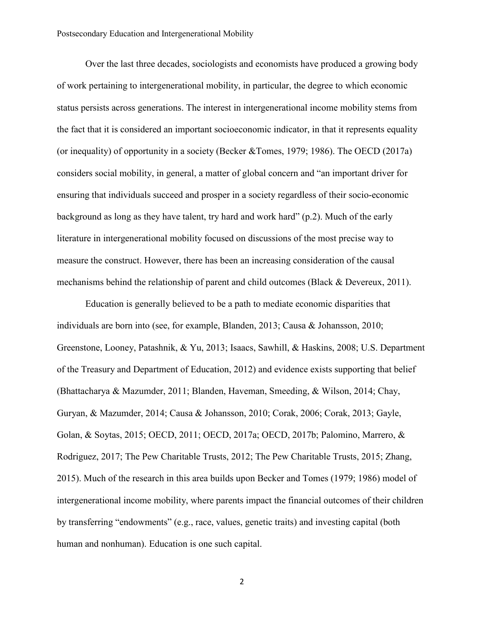Over the last three decades, sociologists and economists have produced a growing body of work pertaining to intergenerational mobility, in particular, the degree to which economic status persists across generations. The interest in intergenerational income mobility stems from the fact that it is considered an important socioeconomic indicator, in that it represents equality (or inequality) of opportunity in a society (Becker &Tomes, 1979; 1986). The OECD (2017a) considers social mobility, in general, a matter of global concern and "an important driver for ensuring that individuals succeed and prosper in a society regardless of their socio-economic background as long as they have talent, try hard and work hard" (p.2). Much of the early literature in intergenerational mobility focused on discussions of the most precise way to measure the construct. However, there has been an increasing consideration of the causal mechanisms behind the relationship of parent and child outcomes (Black & Devereux, 2011).

Education is generally believed to be a path to mediate economic disparities that individuals are born into (see, for example, Blanden, 2013; Causa & Johansson, 2010; Greenstone, Looney, Patashnik, & Yu, 2013; Isaacs, Sawhill, & Haskins, 2008; U.S. Department of the Treasury and Department of Education, 2012) and evidence exists supporting that belief (Bhattacharya & Mazumder, 2011; Blanden, Haveman, Smeeding, & Wilson, 2014; Chay, Guryan, & Mazumder, 2014; Causa & Johansson, 2010; Corak, 2006; Corak, 2013; Gayle, Golan, & Soytas, 2015; OECD, 2011; OECD, 2017a; OECD, 2017b; Palomino, Marrero, & Rodriguez, 2017; The Pew Charitable Trusts, 2012; The Pew Charitable Trusts, 2015; Zhang, 2015). Much of the research in this area builds upon Becker and Tomes (1979; 1986) model of intergenerational income mobility, where parents impact the financial outcomes of their children by transferring "endowments" (e.g., race, values, genetic traits) and investing capital (both human and nonhuman). Education is one such capital.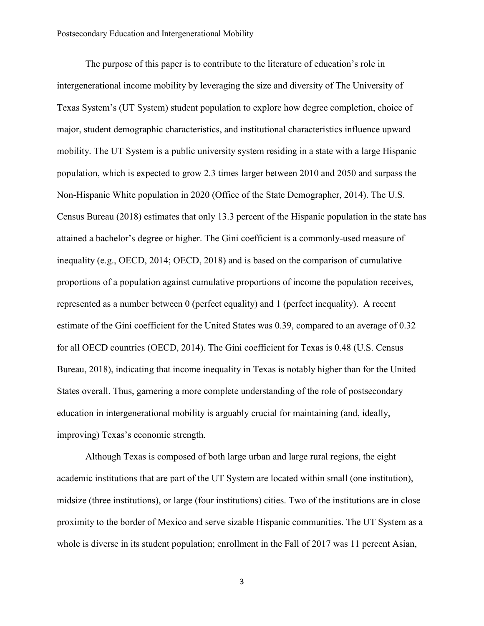The purpose of this paper is to contribute to the literature of education's role in intergenerational income mobility by leveraging the size and diversity of The University of Texas System's (UT System) student population to explore how degree completion, choice of major, student demographic characteristics, and institutional characteristics influence upward mobility. The UT System is a public university system residing in a state with a large Hispanic population, which is expected to grow 2.3 times larger between 2010 and 2050 and surpass the Non-Hispanic White population in 2020 (Office of the State Demographer, 2014). The U.S. Census Bureau (2018) estimates that only 13.3 percent of the Hispanic population in the state has attained a bachelor's degree or higher. The Gini coefficient is a commonly-used measure of inequality (e.g., OECD, 2014; OECD, 2018) and is based on the comparison of cumulative proportions of a population against cumulative proportions of income the population receives, represented as a number between 0 (perfect equality) and 1 (perfect inequality). A recent estimate of the Gini coefficient for the United States was 0.39, compared to an average of 0.32 for all OECD countries (OECD, 2014). The Gini coefficient for Texas is 0.48 (U.S. Census Bureau, 2018), indicating that income inequality in Texas is notably higher than for the United States overall. Thus, garnering a more complete understanding of the role of postsecondary education in intergenerational mobility is arguably crucial for maintaining (and, ideally, improving) Texas's economic strength.

Although Texas is composed of both large urban and large rural regions, the eight academic institutions that are part of the UT System are located within small (one institution), midsize (three institutions), or large (four institutions) cities. Two of the institutions are in close proximity to the border of Mexico and serve sizable Hispanic communities. The UT System as a whole is diverse in its student population; enrollment in the Fall of 2017 was 11 percent Asian,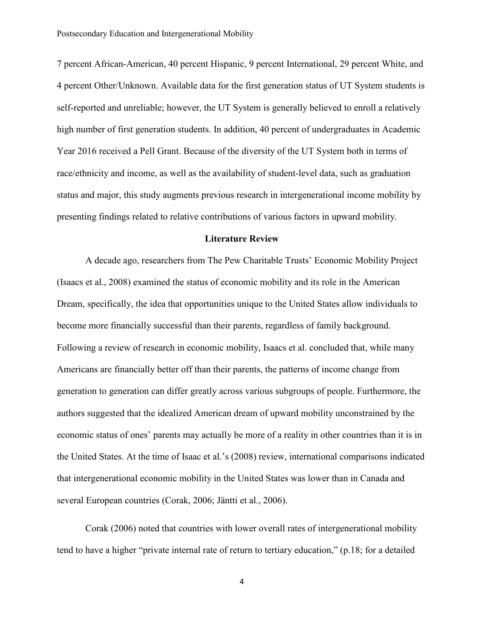7 percent African-American, 40 percent Hispanic, 9 percent International, 29 percent White, and 4 percent Other/Unknown. Available data for the first generation status of UT System students is self-reported and unreliable; however, the UT System is generally believed to enroll a relatively high number of first generation students. In addition, 40 percent of undergraduates in Academic Year 2016 received a Pell Grant. Because of the diversity of the UT System both in terms of race/ethnicity and income, as well as the availability of student-level data, such as graduation status and major, this study augments previous research in intergenerational income mobility by presenting findings related to relative contributions of various factors in upward mobility.

## **Literature Review**

A decade ago, researchers from The Pew Charitable Trusts' Economic Mobility Project (Isaacs et al., 2008) examined the status of economic mobility and its role in the American Dream, specifically, the idea that opportunities unique to the United States allow individuals to become more financially successful than their parents, regardless of family background. Following a review of research in economic mobility, Isaacs et al. concluded that, while many Americans are financially better off than their parents, the patterns of income change from generation to generation can differ greatly across various subgroups of people. Furthermore, the authors suggested that the idealized American dream of upward mobility unconstrained by the economic status of ones' parents may actually be more of a reality in other countries than it is in the United States. At the time of Isaac et al.'s (2008) review, international comparisons indicated that intergenerational economic mobility in the United States was lower than in Canada and several European countries (Corak, 2006; Jäntti et al., 2006).

Corak (2006) noted that countries with lower overall rates of intergenerational mobility tend to have a higher "private internal rate of return to tertiary education," (p.18; for a detailed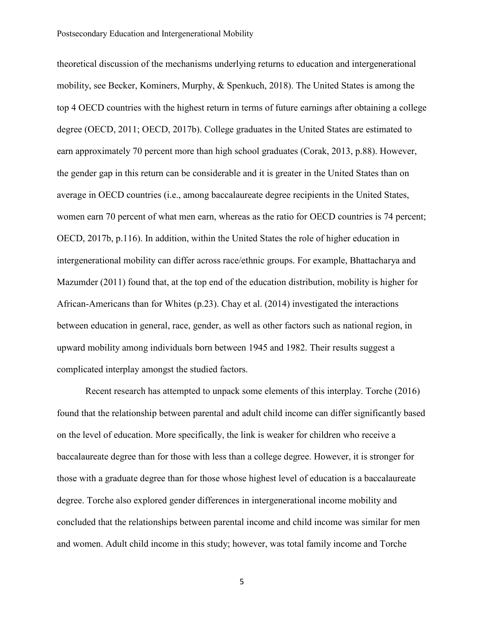theoretical discussion of the mechanisms underlying returns to education and intergenerational mobility, see Becker, Kominers, Murphy, & Spenkuch, 2018). The United States is among the top 4 OECD countries with the highest return in terms of future earnings after obtaining a college degree (OECD, 2011; OECD, 2017b). College graduates in the United States are estimated to earn approximately 70 percent more than high school graduates (Corak, 2013, p.88). However, the gender gap in this return can be considerable and it is greater in the United States than on average in OECD countries (i.e., among baccalaureate degree recipients in the United States, women earn 70 percent of what men earn, whereas as the ratio for OECD countries is 74 percent; OECD, 2017b, p.116). In addition, within the United States the role of higher education in intergenerational mobility can differ across race/ethnic groups. For example, Bhattacharya and Mazumder (2011) found that, at the top end of the education distribution, mobility is higher for African-Americans than for Whites (p.23). Chay et al. (2014) investigated the interactions between education in general, race, gender, as well as other factors such as national region, in upward mobility among individuals born between 1945 and 1982. Their results suggest a complicated interplay amongst the studied factors.

Recent research has attempted to unpack some elements of this interplay. Torche (2016) found that the relationship between parental and adult child income can differ significantly based on the level of education. More specifically, the link is weaker for children who receive a baccalaureate degree than for those with less than a college degree. However, it is stronger for those with a graduate degree than for those whose highest level of education is a baccalaureate degree. Torche also explored gender differences in intergenerational income mobility and concluded that the relationships between parental income and child income was similar for men and women. Adult child income in this study; however, was total family income and Torche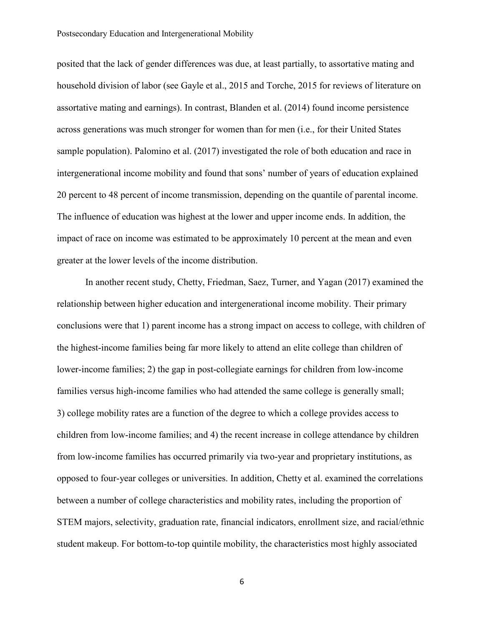posited that the lack of gender differences was due, at least partially, to assortative mating and household division of labor (see Gayle et al., 2015 and Torche, 2015 for reviews of literature on assortative mating and earnings). In contrast, Blanden et al. (2014) found income persistence across generations was much stronger for women than for men (i.e., for their United States sample population). Palomino et al. (2017) investigated the role of both education and race in intergenerational income mobility and found that sons' number of years of education explained 20 percent to 48 percent of income transmission, depending on the quantile of parental income. The influence of education was highest at the lower and upper income ends. In addition, the impact of race on income was estimated to be approximately 10 percent at the mean and even greater at the lower levels of the income distribution.

In another recent study, Chetty, Friedman, Saez, Turner, and Yagan (2017) examined the relationship between higher education and intergenerational income mobility. Their primary conclusions were that 1) parent income has a strong impact on access to college, with children of the highest-income families being far more likely to attend an elite college than children of lower-income families; 2) the gap in post-collegiate earnings for children from low-income families versus high-income families who had attended the same college is generally small; 3) college mobility rates are a function of the degree to which a college provides access to children from low-income families; and 4) the recent increase in college attendance by children from low-income families has occurred primarily via two-year and proprietary institutions, as opposed to four-year colleges or universities. In addition, Chetty et al. examined the correlations between a number of college characteristics and mobility rates, including the proportion of STEM majors, selectivity, graduation rate, financial indicators, enrollment size, and racial/ethnic student makeup. For bottom-to-top quintile mobility, the characteristics most highly associated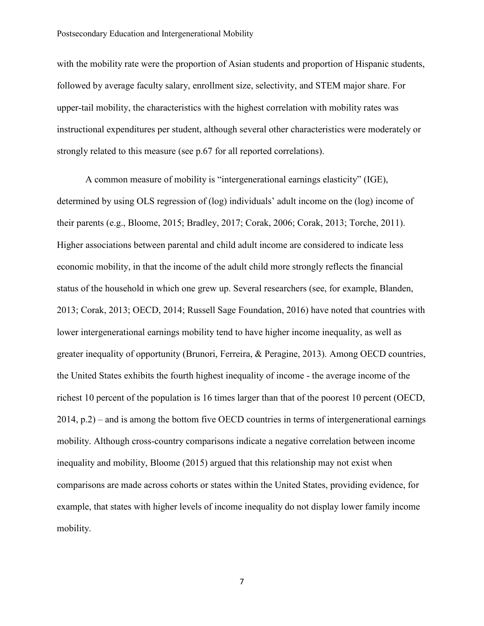with the mobility rate were the proportion of Asian students and proportion of Hispanic students, followed by average faculty salary, enrollment size, selectivity, and STEM major share. For upper-tail mobility, the characteristics with the highest correlation with mobility rates was instructional expenditures per student, although several other characteristics were moderately or strongly related to this measure (see p.67 for all reported correlations).

A common measure of mobility is "intergenerational earnings elasticity" (IGE), determined by using OLS regression of (log) individuals' adult income on the (log) income of their parents (e.g., Bloome, 2015; Bradley, 2017; Corak, 2006; Corak, 2013; Torche, 2011). Higher associations between parental and child adult income are considered to indicate less economic mobility, in that the income of the adult child more strongly reflects the financial status of the household in which one grew up. Several researchers (see, for example, Blanden, 2013; Corak, 2013; OECD, 2014; Russell Sage Foundation, 2016) have noted that countries with lower intergenerational earnings mobility tend to have higher income inequality, as well as greater inequality of opportunity (Brunori, Ferreira, & Peragine, 2013). Among OECD countries, the United States exhibits the fourth highest inequality of income - the average income of the richest 10 percent of the population is 16 times larger than that of the poorest 10 percent (OECD, 2014, p.2) – and is among the bottom five OECD countries in terms of intergenerational earnings mobility. Although cross-country comparisons indicate a negative correlation between income inequality and mobility, Bloome (2015) argued that this relationship may not exist when comparisons are made across cohorts or states within the United States, providing evidence, for example, that states with higher levels of income inequality do not display lower family income mobility.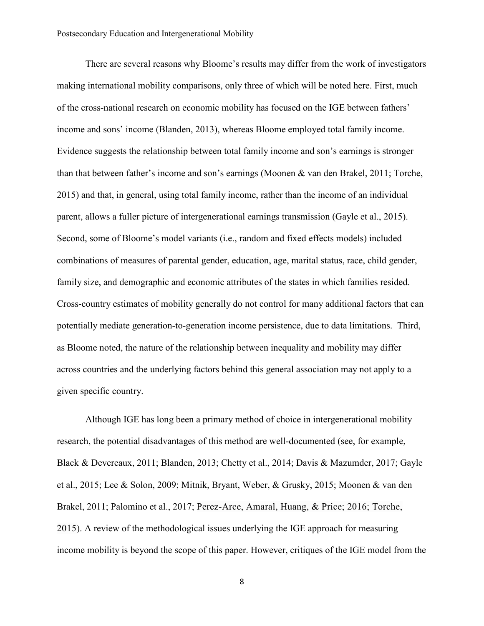There are several reasons why Bloome's results may differ from the work of investigators making international mobility comparisons, only three of which will be noted here. First, much of the cross-national research on economic mobility has focused on the IGE between fathers' income and sons' income (Blanden, 2013), whereas Bloome employed total family income. Evidence suggests the relationship between total family income and son's earnings is stronger than that between father's income and son's earnings (Moonen & van den Brakel, 2011; Torche, 2015) and that, in general, using total family income, rather than the income of an individual parent, allows a fuller picture of intergenerational earnings transmission (Gayle et al., 2015). Second, some of Bloome's model variants (i.e., random and fixed effects models) included combinations of measures of parental gender, education, age, marital status, race, child gender, family size, and demographic and economic attributes of the states in which families resided. Cross-country estimates of mobility generally do not control for many additional factors that can potentially mediate generation-to-generation income persistence, due to data limitations. Third, as Bloome noted, the nature of the relationship between inequality and mobility may differ across countries and the underlying factors behind this general association may not apply to a given specific country.

Although IGE has long been a primary method of choice in intergenerational mobility research, the potential disadvantages of this method are well-documented (see, for example, Black & Devereaux, 2011; Blanden, 2013; Chetty et al., 2014; Davis & Mazumder, 2017; Gayle et al., 2015; Lee & Solon, 2009; Mitnik, Bryant, Weber, & Grusky, 2015; Moonen & van den Brakel, 2011; Palomino et al., 2017; Perez-Arce, Amaral, Huang, & Price; 2016; Torche, 2015). A review of the methodological issues underlying the IGE approach for measuring income mobility is beyond the scope of this paper. However, critiques of the IGE model from the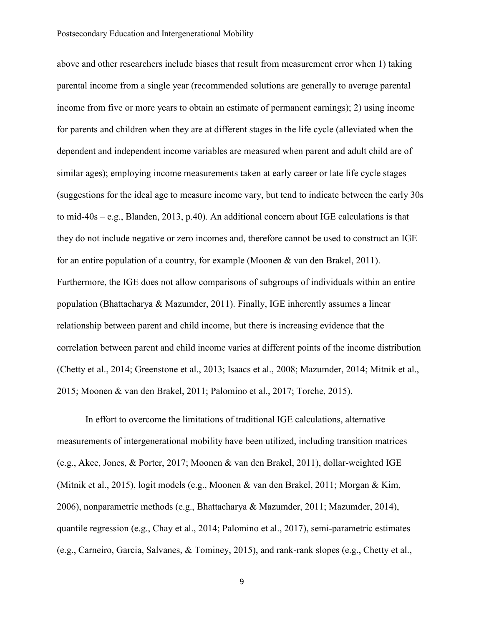above and other researchers include biases that result from measurement error when 1) taking parental income from a single year (recommended solutions are generally to average parental income from five or more years to obtain an estimate of permanent earnings); 2) using income for parents and children when they are at different stages in the life cycle (alleviated when the dependent and independent income variables are measured when parent and adult child are of similar ages); employing income measurements taken at early career or late life cycle stages (suggestions for the ideal age to measure income vary, but tend to indicate between the early 30s to mid-40s – e.g., Blanden, 2013, p.40). An additional concern about IGE calculations is that they do not include negative or zero incomes and, therefore cannot be used to construct an IGE for an entire population of a country, for example (Moonen & van den Brakel, 2011). Furthermore, the IGE does not allow comparisons of subgroups of individuals within an entire population (Bhattacharya & Mazumder, 2011). Finally, IGE inherently assumes a linear relationship between parent and child income, but there is increasing evidence that the correlation between parent and child income varies at different points of the income distribution (Chetty et al., 2014; Greenstone et al., 2013; Isaacs et al., 2008; Mazumder, 2014; Mitnik et al., 2015; Moonen & van den Brakel, 2011; Palomino et al., 2017; Torche, 2015).

In effort to overcome the limitations of traditional IGE calculations, alternative measurements of intergenerational mobility have been utilized, including transition matrices (e.g., Akee, Jones, & Porter, 2017; Moonen & van den Brakel, 2011), dollar-weighted IGE (Mitnik et al., 2015), logit models (e.g., Moonen & van den Brakel, 2011; Morgan & Kim, 2006), nonparametric methods (e.g., Bhattacharya & Mazumder, 2011; Mazumder, 2014), quantile regression (e.g., Chay et al., 2014; Palomino et al., 2017), semi-parametric estimates (e.g., Carneiro, Garcia, Salvanes, & Tominey, 2015), and rank-rank slopes (e.g., Chetty et al.,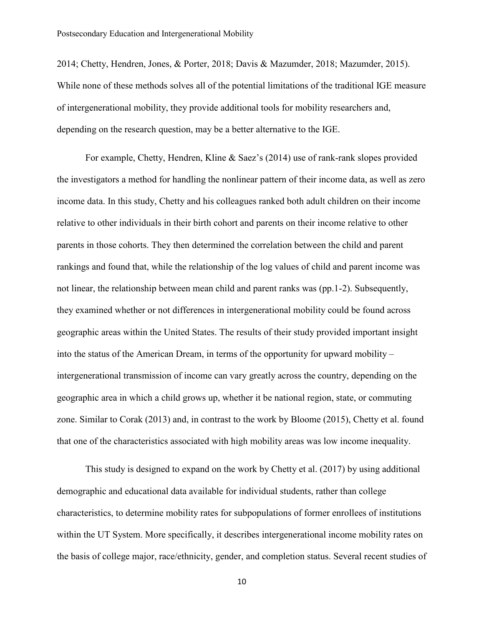2014; Chetty, Hendren, Jones, & Porter, 2018; Davis & Mazumder, 2018; Mazumder, 2015). While none of these methods solves all of the potential limitations of the traditional IGE measure of intergenerational mobility, they provide additional tools for mobility researchers and, depending on the research question, may be a better alternative to the IGE.

For example, Chetty, Hendren, Kline & Saez's (2014) use of rank-rank slopes provided the investigators a method for handling the nonlinear pattern of their income data, as well as zero income data. In this study, Chetty and his colleagues ranked both adult children on their income relative to other individuals in their birth cohort and parents on their income relative to other parents in those cohorts. They then determined the correlation between the child and parent rankings and found that, while the relationship of the log values of child and parent income was not linear, the relationship between mean child and parent ranks was (pp.1-2). Subsequently, they examined whether or not differences in intergenerational mobility could be found across geographic areas within the United States. The results of their study provided important insight into the status of the American Dream, in terms of the opportunity for upward mobility – intergenerational transmission of income can vary greatly across the country, depending on the geographic area in which a child grows up, whether it be national region, state, or commuting zone. Similar to Corak (2013) and, in contrast to the work by Bloome (2015), Chetty et al. found that one of the characteristics associated with high mobility areas was low income inequality.

This study is designed to expand on the work by Chetty et al. (2017) by using additional demographic and educational data available for individual students, rather than college characteristics, to determine mobility rates for subpopulations of former enrollees of institutions within the UT System. More specifically, it describes intergenerational income mobility rates on the basis of college major, race/ethnicity, gender, and completion status. Several recent studies of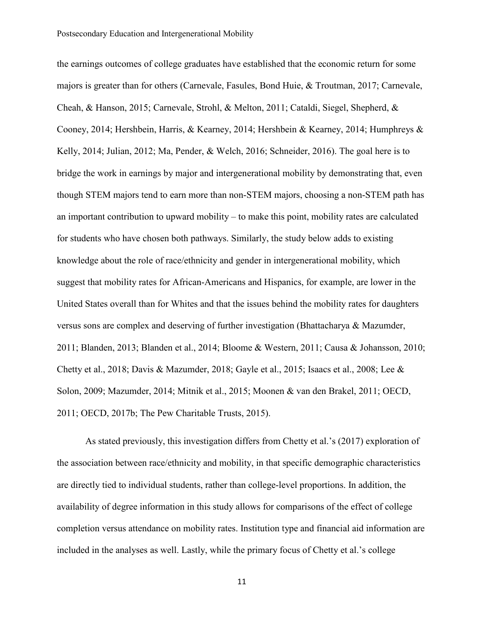the earnings outcomes of college graduates have established that the economic return for some majors is greater than for others (Carnevale, Fasules, Bond Huie, & Troutman, 2017; Carnevale, Cheah, & Hanson, 2015; Carnevale, Strohl, & Melton, 2011; Cataldi, Siegel, Shepherd, & Cooney, 2014; Hershbein, Harris, & Kearney, 2014; Hershbein & Kearney, 2014; Humphreys & Kelly, 2014; Julian, 2012; Ma, Pender, & Welch, 2016; Schneider, 2016). The goal here is to bridge the work in earnings by major and intergenerational mobility by demonstrating that, even though STEM majors tend to earn more than non-STEM majors, choosing a non-STEM path has an important contribution to upward mobility – to make this point, mobility rates are calculated for students who have chosen both pathways. Similarly, the study below adds to existing knowledge about the role of race/ethnicity and gender in intergenerational mobility, which suggest that mobility rates for African-Americans and Hispanics, for example, are lower in the United States overall than for Whites and that the issues behind the mobility rates for daughters versus sons are complex and deserving of further investigation (Bhattacharya & Mazumder, 2011; Blanden, 2013; Blanden et al., 2014; Bloome & Western, 2011; Causa & Johansson, 2010; Chetty et al., 2018; Davis & Mazumder, 2018; Gayle et al., 2015; Isaacs et al., 2008; Lee & Solon, 2009; Mazumder, 2014; Mitnik et al., 2015; Moonen & van den Brakel, 2011; OECD, 2011; OECD, 2017b; The Pew Charitable Trusts, 2015).

As stated previously, this investigation differs from Chetty et al.'s (2017) exploration of the association between race/ethnicity and mobility, in that specific demographic characteristics are directly tied to individual students, rather than college-level proportions. In addition, the availability of degree information in this study allows for comparisons of the effect of college completion versus attendance on mobility rates. Institution type and financial aid information are included in the analyses as well. Lastly, while the primary focus of Chetty et al.'s college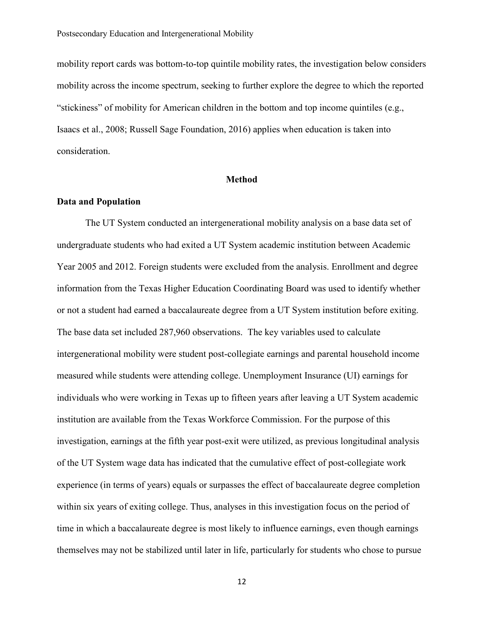mobility report cards was bottom-to-top quintile mobility rates, the investigation below considers mobility across the income spectrum, seeking to further explore the degree to which the reported "stickiness" of mobility for American children in the bottom and top income quintiles (e.g., Isaacs et al., 2008; Russell Sage Foundation, 2016) applies when education is taken into consideration.

## **Method**

## **Data and Population**

The UT System conducted an intergenerational mobility analysis on a base data set of undergraduate students who had exited a UT System academic institution between Academic Year 2005 and 2012. Foreign students were excluded from the analysis. Enrollment and degree information from the Texas Higher Education Coordinating Board was used to identify whether or not a student had earned a baccalaureate degree from a UT System institution before exiting. The base data set included 287,960 observations. The key variables used to calculate intergenerational mobility were student post-collegiate earnings and parental household income measured while students were attending college. Unemployment Insurance (UI) earnings for individuals who were working in Texas up to fifteen years after leaving a UT System academic institution are available from the Texas Workforce Commission. For the purpose of this investigation, earnings at the fifth year post-exit were utilized, as previous longitudinal analysis of the UT System wage data has indicated that the cumulative effect of post-collegiate work experience (in terms of years) equals or surpasses the effect of baccalaureate degree completion within six years of exiting college. Thus, analyses in this investigation focus on the period of time in which a baccalaureate degree is most likely to influence earnings, even though earnings themselves may not be stabilized until later in life, particularly for students who chose to pursue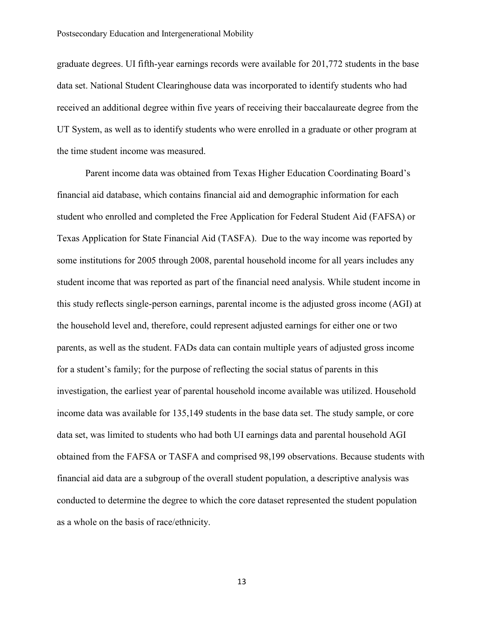graduate degrees. UI fifth-year earnings records were available for 201,772 students in the base data set. National Student Clearinghouse data was incorporated to identify students who had received an additional degree within five years of receiving their baccalaureate degree from the UT System, as well as to identify students who were enrolled in a graduate or other program at the time student income was measured.

Parent income data was obtained from Texas Higher Education Coordinating Board's financial aid database, which contains financial aid and demographic information for each student who enrolled and completed the Free Application for Federal Student Aid (FAFSA) or Texas Application for State Financial Aid (TASFA). Due to the way income was reported by some institutions for 2005 through 2008, parental household income for all years includes any student income that was reported as part of the financial need analysis. While student income in this study reflects single-person earnings, parental income is the adjusted gross income (AGI) at the household level and, therefore, could represent adjusted earnings for either one or two parents, as well as the student. FADs data can contain multiple years of adjusted gross income for a student's family; for the purpose of reflecting the social status of parents in this investigation, the earliest year of parental household income available was utilized. Household income data was available for 135,149 students in the base data set. The study sample, or core data set, was limited to students who had both UI earnings data and parental household AGI obtained from the FAFSA or TASFA and comprised 98,199 observations. Because students with financial aid data are a subgroup of the overall student population, a descriptive analysis was conducted to determine the degree to which the core dataset represented the student population as a whole on the basis of race/ethnicity.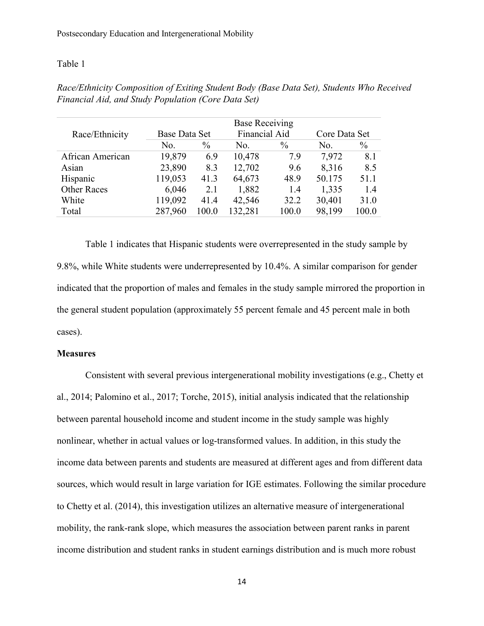## Table 1

|                    | <b>Base Receiving</b> |               |         |               |               |               |
|--------------------|-----------------------|---------------|---------|---------------|---------------|---------------|
| Race/Ethnicity     | Base Data Set         | Financial Aid |         |               | Core Data Set |               |
|                    | No.                   | $\frac{0}{0}$ | No.     | $\frac{0}{0}$ | No.           | $\frac{0}{0}$ |
| African American   | 19,879                | 6.9           | 10,478  | 7.9           | 7,972         | 8.1           |
| Asian              | 23,890                | 8.3           | 12,702  | 9.6           | 8,316         | 8.5           |
| Hispanic           | 119,053               | 41.3          | 64,673  | 48.9          | 50.175        | 51.1          |
| <b>Other Races</b> | 6,046                 | 2.1           | 1,882   | 1.4           | 1,335         | 1.4           |
| White              | 119,092               | 41.4          | 42,546  | 32.2          | 30,401        | 31.0          |
| Total              | 287,960               | 100.0         | 132,281 | 100.0         | 98,199        | 100.0         |

*Race/Ethnicity Composition of Exiting Student Body (Base Data Set), Students Who Received Financial Aid, and Study Population (Core Data Set)*

Table 1 indicates that Hispanic students were overrepresented in the study sample by 9.8%, while White students were underrepresented by 10.4%. A similar comparison for gender indicated that the proportion of males and females in the study sample mirrored the proportion in the general student population (approximately 55 percent female and 45 percent male in both cases).

## **Measures**

Consistent with several previous intergenerational mobility investigations (e.g., Chetty et al., 2014; Palomino et al., 2017; Torche, 2015), initial analysis indicated that the relationship between parental household income and student income in the study sample was highly nonlinear, whether in actual values or log-transformed values. In addition, in this study the income data between parents and students are measured at different ages and from different data sources, which would result in large variation for IGE estimates. Following the similar procedure to Chetty et al. (2014), this investigation utilizes an alternative measure of intergenerational mobility, the rank-rank slope, which measures the association between parent ranks in parent income distribution and student ranks in student earnings distribution and is much more robust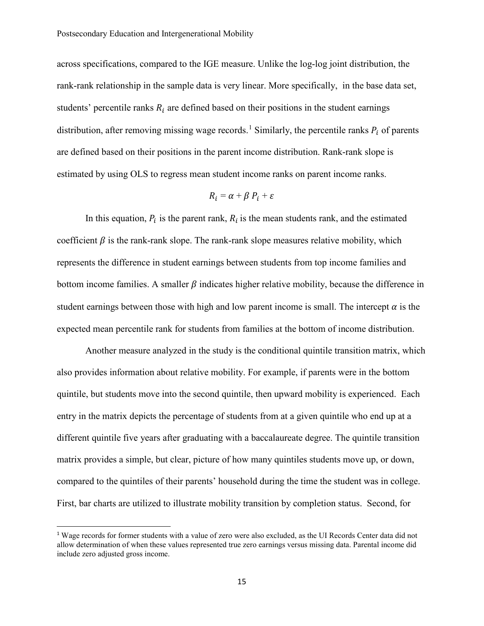across specifications, compared to the IGE measure. Unlike the log-log joint distribution, the rank-rank relationship in the sample data is very linear. More specifically, in the base data set, students' percentile ranks  $R_i$  are defined based on their positions in the student earnings distribution, after removing missing wage records.<sup>[1](#page-14-0)</sup> Similarly, the percentile ranks  $P_i$  of parents are defined based on their positions in the parent income distribution. Rank-rank slope is estimated by using OLS to regress mean student income ranks on parent income ranks.

$$
R_i = \alpha + \beta P_i + \varepsilon
$$

In this equation,  $P_i$  is the parent rank,  $R_i$  is the mean students rank, and the estimated coefficient  $\beta$  is the rank-rank slope. The rank-rank slope measures relative mobility, which represents the difference in student earnings between students from top income families and bottom income families. A smaller  $\beta$  indicates higher relative mobility, because the difference in student earnings between those with high and low parent income is small. The intercept  $\alpha$  is the expected mean percentile rank for students from families at the bottom of income distribution.

Another measure analyzed in the study is the conditional quintile transition matrix, which also provides information about relative mobility. For example, if parents were in the bottom quintile, but students move into the second quintile, then upward mobility is experienced. Each entry in the matrix depicts the percentage of students from at a given quintile who end up at a different quintile five years after graduating with a baccalaureate degree. The quintile transition matrix provides a simple, but clear, picture of how many quintiles students move up, or down, compared to the quintiles of their parents' household during the time the student was in college. First, bar charts are utilized to illustrate mobility transition by completion status. Second, for

<span id="page-14-0"></span><sup>&</sup>lt;sup>1</sup> Wage records for former students with a value of zero were also excluded, as the UI Records Center data did not allow determination of when these values represented true zero earnings versus missing data. Parental income did include zero adjusted gross income.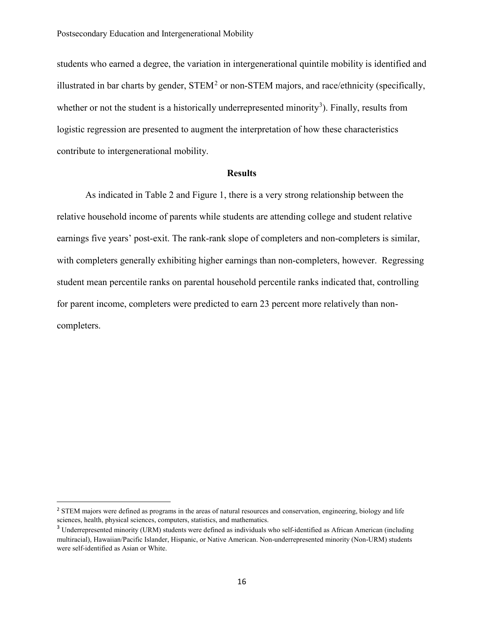students who earned a degree, the variation in intergenerational quintile mobility is identified and illustrated in bar charts by gender,  $\text{STEM}^2$  $\text{STEM}^2$  or non-STEM majors, and race/ethnicity (specifically, whether or not the student is a historically underrepresented minority<sup>[3](#page-15-1)</sup>). Finally, results from logistic regression are presented to augment the interpretation of how these characteristics contribute to intergenerational mobility.

### **Results**

As indicated in Table 2 and Figure 1, there is a very strong relationship between the relative household income of parents while students are attending college and student relative earnings five years' post-exit. The rank-rank slope of completers and non-completers is similar, with completers generally exhibiting higher earnings than non-completers, however. Regressing student mean percentile ranks on parental household percentile ranks indicated that, controlling for parent income, completers were predicted to earn 23 percent more relatively than noncompleters.

<span id="page-15-0"></span><sup>&</sup>lt;sup>2</sup> STEM majors were defined as programs in the areas of natural resources and conservation, engineering, biology and life sciences, health, physical sciences, computers, statistics, and mathematics.

<span id="page-15-1"></span><sup>&</sup>lt;sup>3</sup> Underrepresented minority (URM) students were defined as individuals who self-identified as African American (including multiracial), Hawaiian/Pacific Islander, Hispanic, or Native American. Non-underrepresented minority (Non-URM) students were self-identified as Asian or White.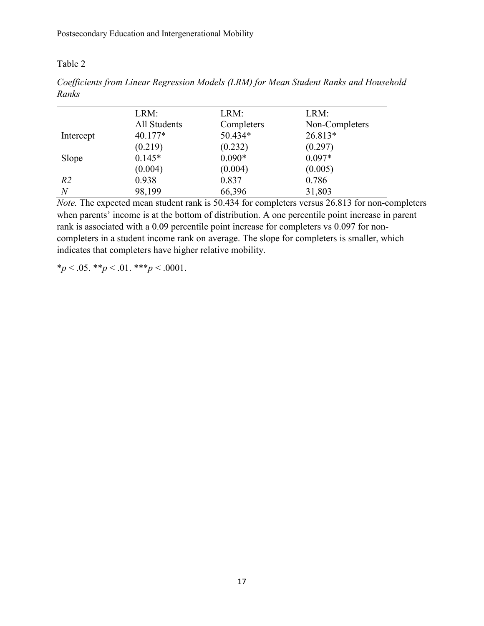# Table 2

| Coefficients from Linear Regression Models (LRM) for Mean Student Ranks and Household |  |  |  |  |  |
|---------------------------------------------------------------------------------------|--|--|--|--|--|
| Ranks                                                                                 |  |  |  |  |  |

|                | LRM:<br>All Students | LRM:<br>Completers | LRM:<br>Non-Completers |
|----------------|----------------------|--------------------|------------------------|
| Intercept      | $40.177*$            | 50.434*            | 26.813*                |
|                | (0.219)              | (0.232)            | (0.297)                |
| Slope          | $0.145*$             | $0.090*$           | $0.097*$               |
|                | (0.004)              | (0.004)            | (0.005)                |
| R <sub>2</sub> | 0.938                | 0.837              | 0.786                  |
| $\overline{N}$ | 98,199               | 66,396             | 31,803                 |

*Note.* The expected mean student rank is 50.434 for completers versus 26.813 for non-completers when parents' income is at the bottom of distribution. A one percentile point increase in parent rank is associated with a 0.09 percentile point increase for completers vs 0.097 for noncompleters in a student income rank on average. The slope for completers is smaller, which indicates that completers have higher relative mobility.

\**p* < .05. \*\**p* < .01. \*\*\**p* < .0001.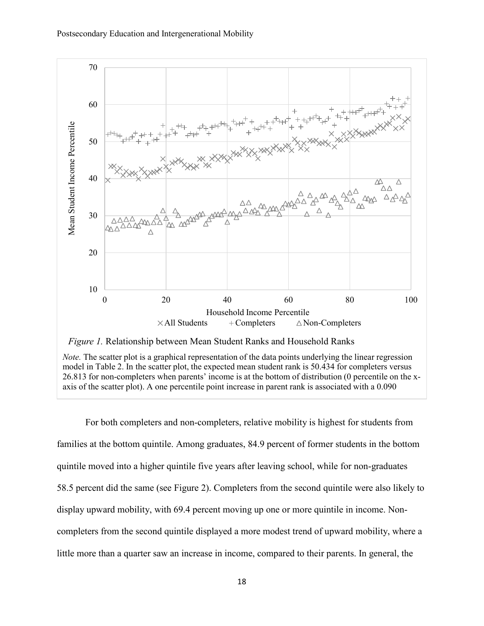



*Note.* The scatter plot is a graphical representation of the data points underlying the linear regression model in Table 2. In the scatter plot, the expected mean student rank is 50.434 for completers versus 26.813 for non-completers when parents' income is at the bottom of distribution (0 percentile on the xaxis of the scatter plot). A one percentile point increase in parent rank is associated with a 0.090

For both completers and non-completers, relative mobility is highest for students from families at the bottom quintile. Among graduates, 84.9 percent of former students in the bottom quintile moved into a higher quintile five years after leaving school, while for non-graduates 58.5 percent did the same (see Figure 2). Completers from the second quintile were also likely to display upward mobility, with 69.4 percent moving up one or more quintile in income. Noncompleters from the second quintile displayed a more modest trend of upward mobility, where a little more than a quarter saw an increase in income, compared to their parents. In general, the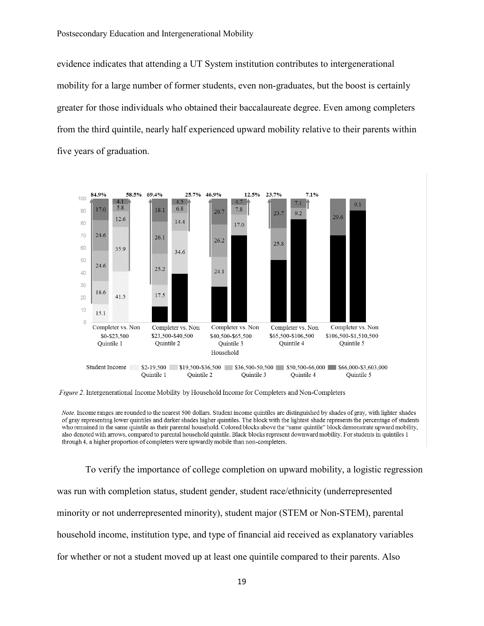evidence indicates that attending a UT System institution contributes to intergenerational mobility for a large number of former students, even non-graduates, but the boost is certainly greater for those individuals who obtained their baccalaureate degree. Even among completers from the third quintile, nearly half experienced upward mobility relative to their parents within five years of graduation.



Note. Income ranges are rounded to the nearest 500 dollars. Student income quintiles are distinguished by shades of gray, with lighter shades of gray representing lower quintiles and darker shades higher quintiles. The block with the lightest shade represents the percentage of students who remained in the same quintile as their parental household. Colored blocks above the "same quintile" block demonstrate upward mobility, also denoted with arrows, compared to parental household quintile. Black blocks represent downward mobility. For students in quintiles 1 through 4, a higher proportion of completers were upwardly mobile than non-completers.

To verify the importance of college completion on upward mobility, a logistic regression was run with completion status, student gender, student race/ethnicity (underrepresented minority or not underrepresented minority), student major (STEM or Non-STEM), parental household income, institution type, and type of financial aid received as explanatory variables for whether or not a student moved up at least one quintile compared to their parents. Also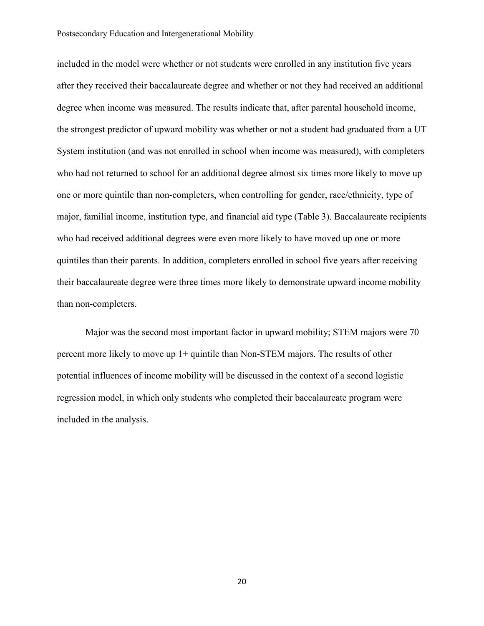#### Postsecondary Education and Intergenerational Mobility

included in the model were whether or not students were enrolled in any institution five years after they received their baccalaureate degree and whether or not they had received an additional degree when income was measured. The results indicate that, after parental household income, the strongest predictor of upward mobility was whether or not a student had graduated from a UT System institution (and was not enrolled in school when income was measured), with completers who had not returned to school for an additional degree almost six times more likely to move up one or more quintile than non-completers, when controlling for gender, race/ethnicity, type of major, familial income, institution type, and financial aid type (Table 3). Baccalaureate recipients who had received additional degrees were even more likely to have moved up one or more quintiles than their parents. In addition, completers enrolled in school five years after receiving their baccalaureate degree were three times more likely to demonstrate upward income mobility than non-completers.

Major was the second most important factor in upward mobility; STEM majors were 70 percent more likely to move up 1+ quintile than Non-STEM majors. The results of other potential influences of income mobility will be discussed in the context of a second logistic regression model, in which only students who completed their baccalaureate program were included in the analysis.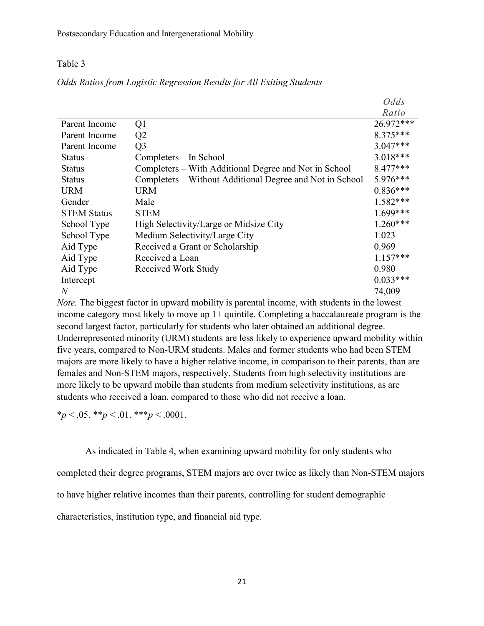## Table 3

|                    |                                                          | Odds       |
|--------------------|----------------------------------------------------------|------------|
|                    |                                                          | Ratio      |
| Parent Income      | Q1                                                       | 26.972***  |
| Parent Income      | Q <sub>2</sub>                                           | $8.375***$ |
| Parent Income      | Q <sub>3</sub>                                           | $3.047***$ |
| Status             | Completers – In School                                   | $3.018***$ |
| <b>Status</b>      | Completers – With Additional Degree and Not in School    | 8.477***   |
| Status             | Completers – Without Additional Degree and Not in School | 5.976***   |
| <b>URM</b>         | <b>URM</b>                                               | $0.836***$ |
| Gender             | Male                                                     | $1.582***$ |
| <b>STEM Status</b> | <b>STEM</b>                                              | $1.699***$ |
| School Type        | High Selectivity/Large or Midsize City                   | $1.260***$ |
| School Type        | Medium Selectivity/Large City                            | 1.023      |
| Aid Type           | Received a Grant or Scholarship                          | 0.969      |
| Aid Type           | Received a Loan                                          | $1.157***$ |
| Aid Type           | Received Work Study                                      | 0.980      |
| Intercept          |                                                          | $0.033***$ |
| $\overline{N}$     |                                                          | 74,009     |

## *Odds Ratios from Logistic Regression Results for All Exiting Students*

*Note.* The biggest factor in upward mobility is parental income, with students in the lowest income category most likely to move up  $1+$  quintile. Completing a baccalaureate program is the second largest factor, particularly for students who later obtained an additional degree. Underrepresented minority (URM) students are less likely to experience upward mobility within five years, compared to Non-URM students. Males and former students who had been STEM majors are more likely to have a higher relative income, in comparison to their parents, than are females and Non-STEM majors, respectively. Students from high selectivity institutions are more likely to be upward mobile than students from medium selectivity institutions, as are students who received a loan, compared to those who did not receive a loan.

 $*_p$  < .05.  $*_p$  < .01.  $**_p$  < .0001.

As indicated in Table 4, when examining upward mobility for only students who completed their degree programs, STEM majors are over twice as likely than Non-STEM majors to have higher relative incomes than their parents, controlling for student demographic characteristics, institution type, and financial aid type.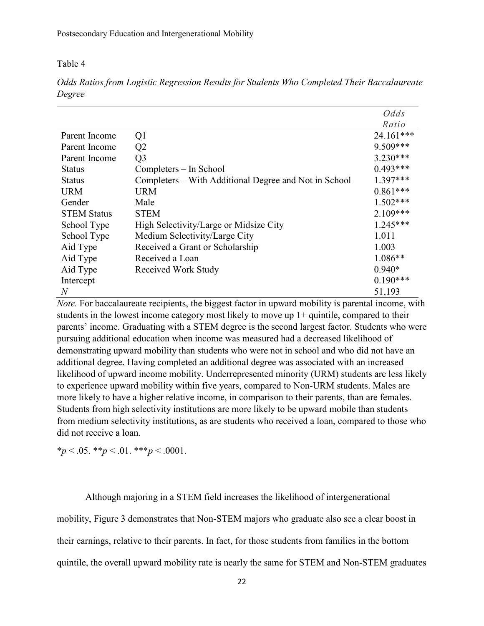## Table 4

|                    |                                                       | Odds       |
|--------------------|-------------------------------------------------------|------------|
|                    |                                                       | Ratio      |
| Parent Income      | Q1                                                    | 24.161***  |
| Parent Income      | Q2                                                    | $9.509***$ |
| Parent Income      | Q <sub>3</sub>                                        | $3.230***$ |
| <b>Status</b>      | Completers – In School                                | $0.493***$ |
| <b>Status</b>      | Completers – With Additional Degree and Not in School | $1.397***$ |
| <b>URM</b>         | <b>URM</b>                                            | $0.861***$ |
| Gender             | Male                                                  | $1.502***$ |
| <b>STEM Status</b> | <b>STEM</b>                                           | $2.109***$ |
| School Type        | High Selectivity/Large or Midsize City                | $1.245***$ |
| School Type        | Medium Selectivity/Large City                         | 1.011      |
| Aid Type           | Received a Grant or Scholarship                       | 1.003      |
| Aid Type           | Received a Loan                                       | $1.086**$  |
| Aid Type           | Received Work Study                                   | $0.940*$   |
| Intercept          |                                                       | $0.190***$ |
| $\overline{N}$     |                                                       | 51,193     |

*Odds Ratios from Logistic Regression Results for Students Who Completed Their Baccalaureate Degree*

*Note.* For baccalaureate recipients, the biggest factor in upward mobility is parental income, with students in the lowest income category most likely to move up 1+ quintile, compared to their parents' income. Graduating with a STEM degree is the second largest factor. Students who were pursuing additional education when income was measured had a decreased likelihood of demonstrating upward mobility than students who were not in school and who did not have an additional degree. Having completed an additional degree was associated with an increased likelihood of upward income mobility. Underrepresented minority (URM) students are less likely to experience upward mobility within five years, compared to Non-URM students. Males are more likely to have a higher relative income, in comparison to their parents, than are females. Students from high selectivity institutions are more likely to be upward mobile than students from medium selectivity institutions, as are students who received a loan, compared to those who did not receive a loan.

 $*_{p}$  < .05.  $*_{p}$  < .01.  $*_{p}$  < .0001.

Although majoring in a STEM field increases the likelihood of intergenerational

mobility, Figure 3 demonstrates that Non-STEM majors who graduate also see a clear boost in

their earnings, relative to their parents. In fact, for those students from families in the bottom

quintile, the overall upward mobility rate is nearly the same for STEM and Non-STEM graduates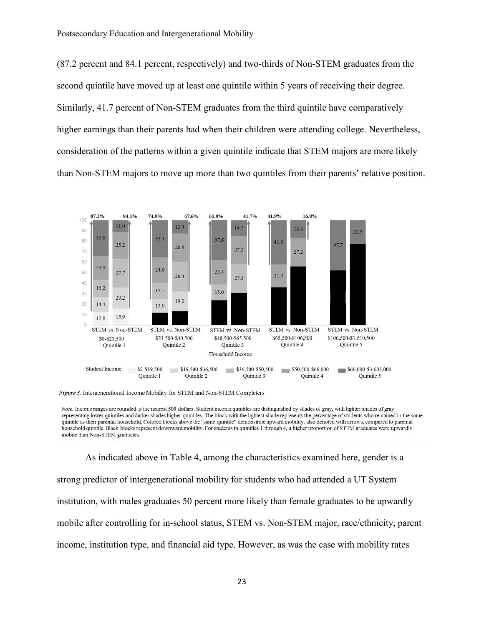(87.2 percent and 84.1 percent, respectively) and two-thirds of Non-STEM graduates from the second quintile have moved up at least one quintile within 5 years of receiving their degree. Similarly, 41.7 percent of Non-STEM graduates from the third quintile have comparatively higher earnings than their parents had when their children were attending college. Nevertheless, consideration of the patterns within a given quintile indicate that STEM majors are more likely than Non-STEM majors to move up more than two quintiles from their parents' relative position.



Note. Income ranges are rounded to the nearest 500 dollars. Student income quintiles are distinguished by shades of gray, with lighter shades of gray representing lower quintiles and darker shades higher quintiles. The block with the lightest shade represents the percentage of students who remained in the same quintile as their parental household. Colored blocks above the "same quintile" demonstrate upward mobility, also denoted with arrows, compared to parental household quintile. Black blocks represent downward mobility. For students in quintiles 1 through 4, a higher proportion of STEM graduates were upwardly mobile than Non-STEM graduates.

As indicated above in Table 4, among the characteristics examined here, gender is a strong predictor of intergenerational mobility for students who had attended a UT System institution, with males graduates 50 percent more likely than female graduates to be upwardly mobile after controlling for in-school status, STEM vs. Non-STEM major, race/ethnicity, parent income, institution type, and financial aid type. However, as was the case with mobility rates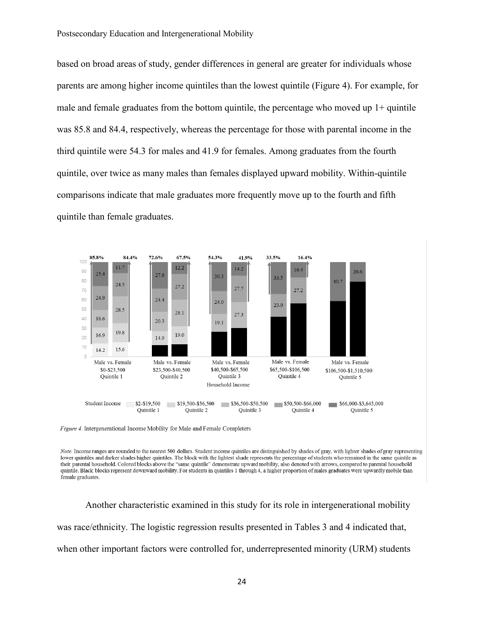based on broad areas of study, gender differences in general are greater for individuals whose parents are among higher income quintiles than the lowest quintile (Figure 4). For example, for male and female graduates from the bottom quintile, the percentage who moved up  $1+$  quintile was 85.8 and 84.4, respectively, whereas the percentage for those with parental income in the third quintile were 54.3 for males and 41.9 for females. Among graduates from the fourth quintile, over twice as many males than females displayed upward mobility. Within-quintile comparisons indicate that male graduates more frequently move up to the fourth and fifth quintile than female graduates.



Figure 4. Intergenerational Income Mobility for Male and Female Completers

Note. Income ranges are rounded to the nearest 500 dollars. Student income quintiles are distinguished by shades of gray, with lighter shades of gray representing lower quintiles and darker shades higher quintiles. The block with the lightest shade represents the percentage of students who remained in the same quintile as their parental household. Colored blocks above the "same quintile" demonstrate upward mobility, also denoted with arrows, compared to parental household quintile. Black blocks represent downward mobility. For students in quintiles 1 through 4, a higher proportion of males graduates were upwardly mobile than female graduates.

Another characteristic examined in this study for its role in intergenerational mobility was race/ethnicity. The logistic regression results presented in Tables 3 and 4 indicated that, when other important factors were controlled for, underrepresented minority (URM) students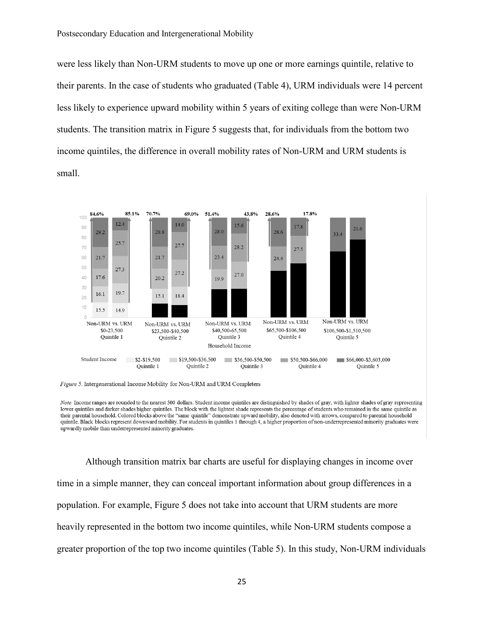were less likely than Non-URM students to move up one or more earnings quintile, relative to their parents. In the case of students who graduated (Table 4), URM individuals were 14 percent less likely to experience upward mobility within 5 years of exiting college than were Non-URM students. The transition matrix in Figure 5 suggests that, for individuals from the bottom two income quintiles, the difference in overall mobility rates of Non-URM and URM students is small.



Figure 5. Intergenerational Income Mobility for Non-URM and URM Completers

Note. Income ranges are rounded to the nearest 500 dollars. Student income quintiles are distinguished by shades of gray, with lighter shades of gray representing lower quintiles and darker shades higher quintiles. The block with the lightest shade represents the percentage of students who remained in the same quintile as their parental household. Colored blocks above the "same quintile" demonstrate upward mobility, also denoted with arrows, compared to parental household quintile. Black blocks represent downward mobility. For students in quintiles 1 through 4, a higher proportion of non-underrepresented minority graduates were upwardly mobile than underrepresented minority graduates.

Although transition matrix bar charts are useful for displaying changes in income over time in a simple manner, they can conceal important information about group differences in a population. For example, Figure 5 does not take into account that URM students are more heavily represented in the bottom two income quintiles, while Non-URM students compose a greater proportion of the top two income quintiles (Table 5). In this study, Non-URM individuals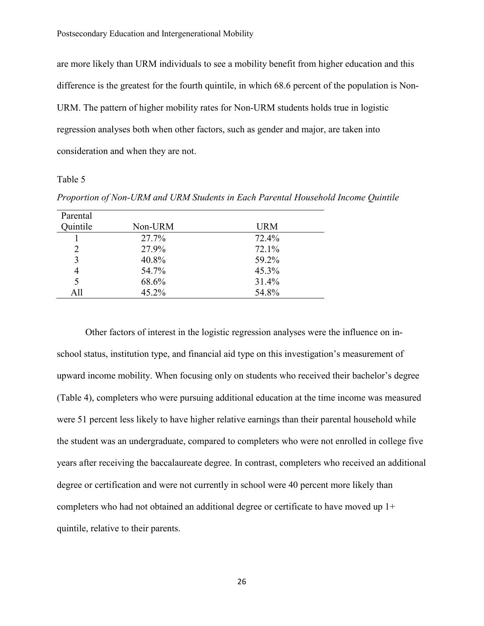are more likely than URM individuals to see a mobility benefit from higher education and this difference is the greatest for the fourth quintile, in which 68.6 percent of the population is Non-URM. The pattern of higher mobility rates for Non-URM students holds true in logistic regression analyses both when other factors, such as gender and major, are taken into consideration and when they are not.

## Table 5

| Parental |         |            |
|----------|---------|------------|
| Quintile | Non-URM | <b>URM</b> |
|          | 27.7%   | 72.4%      |
| 2        | 27.9%   | 72.1%      |
| 3        | 40.8%   | 59.2%      |
| 4        | 54.7%   | 45.3%      |
| 5        | 68.6%   | 31.4%      |
| All      | 45.2%   | 54.8%      |
|          |         |            |

*Proportion of Non-URM and URM Students in Each Parental Household Income Quintile*

Other factors of interest in the logistic regression analyses were the influence on inschool status, institution type, and financial aid type on this investigation's measurement of upward income mobility. When focusing only on students who received their bachelor's degree (Table 4), completers who were pursuing additional education at the time income was measured were 51 percent less likely to have higher relative earnings than their parental household while the student was an undergraduate, compared to completers who were not enrolled in college five years after receiving the baccalaureate degree. In contrast, completers who received an additional degree or certification and were not currently in school were 40 percent more likely than completers who had not obtained an additional degree or certificate to have moved up 1+ quintile, relative to their parents.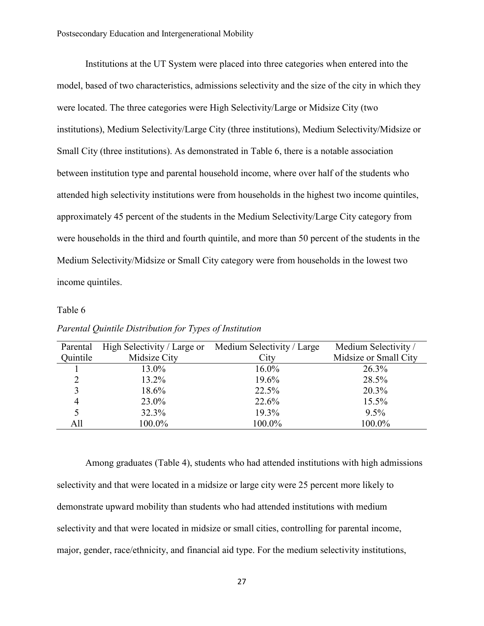Institutions at the UT System were placed into three categories when entered into the model, based of two characteristics, admissions selectivity and the size of the city in which they were located. The three categories were High Selectivity/Large or Midsize City (two institutions), Medium Selectivity/Large City (three institutions), Medium Selectivity/Midsize or Small City (three institutions). As demonstrated in Table 6, there is a notable association between institution type and parental household income, where over half of the students who attended high selectivity institutions were from households in the highest two income quintiles, approximately 45 percent of the students in the Medium Selectivity/Large City category from were households in the third and fourth quintile, and more than 50 percent of the students in the Medium Selectivity/Midsize or Small City category were from households in the lowest two income quintiles.

## Table 6

| Parental | High Selectivity / Large or | Medium Selectivity / Large | Medium Selectivity/   |
|----------|-----------------------------|----------------------------|-----------------------|
| Quintile | Midsize City                | City                       | Midsize or Small City |
|          | 13.0%                       | 16.0%                      | 26.3%                 |
|          | 13.2%                       | 19.6%                      | 28.5%                 |
|          | 18.6%                       | 22.5%                      | 20.3%                 |
|          | 23.0%                       | 22.6%                      | 15.5%                 |
|          | 32.3%                       | 19.3%                      | 9.5%                  |
| All      | 100.0%                      | 100.0%                     | 100.0%                |

*Parental Quintile Distribution for Types of Institution*

Among graduates (Table 4), students who had attended institutions with high admissions selectivity and that were located in a midsize or large city were 25 percent more likely to demonstrate upward mobility than students who had attended institutions with medium selectivity and that were located in midsize or small cities, controlling for parental income, major, gender, race/ethnicity, and financial aid type. For the medium selectivity institutions,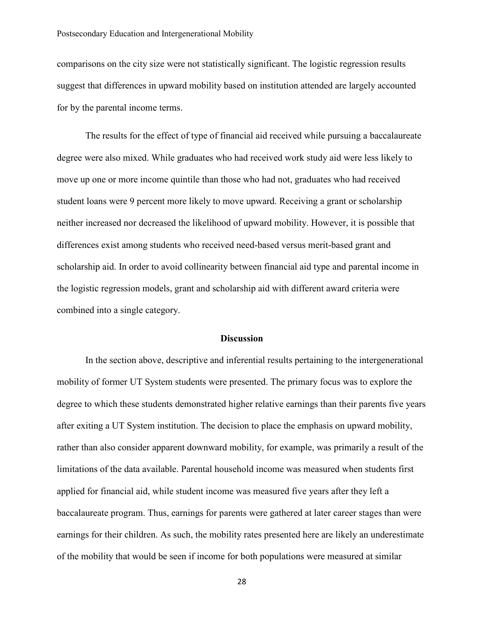#### Postsecondary Education and Intergenerational Mobility

comparisons on the city size were not statistically significant. The logistic regression results suggest that differences in upward mobility based on institution attended are largely accounted for by the parental income terms.

The results for the effect of type of financial aid received while pursuing a baccalaureate degree were also mixed. While graduates who had received work study aid were less likely to move up one or more income quintile than those who had not, graduates who had received student loans were 9 percent more likely to move upward. Receiving a grant or scholarship neither increased nor decreased the likelihood of upward mobility. However, it is possible that differences exist among students who received need-based versus merit-based grant and scholarship aid. In order to avoid collinearity between financial aid type and parental income in the logistic regression models, grant and scholarship aid with different award criteria were combined into a single category.

#### **Discussion**

In the section above, descriptive and inferential results pertaining to the intergenerational mobility of former UT System students were presented. The primary focus was to explore the degree to which these students demonstrated higher relative earnings than their parents five years after exiting a UT System institution. The decision to place the emphasis on upward mobility, rather than also consider apparent downward mobility, for example, was primarily a result of the limitations of the data available. Parental household income was measured when students first applied for financial aid, while student income was measured five years after they left a baccalaureate program. Thus, earnings for parents were gathered at later career stages than were earnings for their children. As such, the mobility rates presented here are likely an underestimate of the mobility that would be seen if income for both populations were measured at similar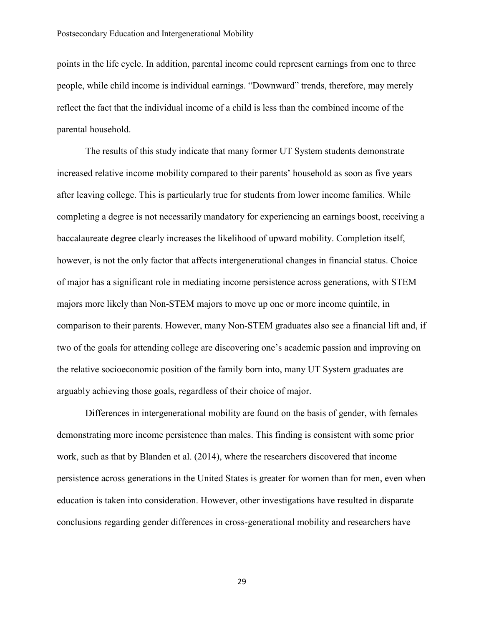points in the life cycle. In addition, parental income could represent earnings from one to three people, while child income is individual earnings. "Downward" trends, therefore, may merely reflect the fact that the individual income of a child is less than the combined income of the parental household.

The results of this study indicate that many former UT System students demonstrate increased relative income mobility compared to their parents' household as soon as five years after leaving college. This is particularly true for students from lower income families. While completing a degree is not necessarily mandatory for experiencing an earnings boost, receiving a baccalaureate degree clearly increases the likelihood of upward mobility. Completion itself, however, is not the only factor that affects intergenerational changes in financial status. Choice of major has a significant role in mediating income persistence across generations, with STEM majors more likely than Non-STEM majors to move up one or more income quintile, in comparison to their parents. However, many Non-STEM graduates also see a financial lift and, if two of the goals for attending college are discovering one's academic passion and improving on the relative socioeconomic position of the family born into, many UT System graduates are arguably achieving those goals, regardless of their choice of major.

Differences in intergenerational mobility are found on the basis of gender, with females demonstrating more income persistence than males. This finding is consistent with some prior work, such as that by Blanden et al. (2014), where the researchers discovered that income persistence across generations in the United States is greater for women than for men, even when education is taken into consideration. However, other investigations have resulted in disparate conclusions regarding gender differences in cross-generational mobility and researchers have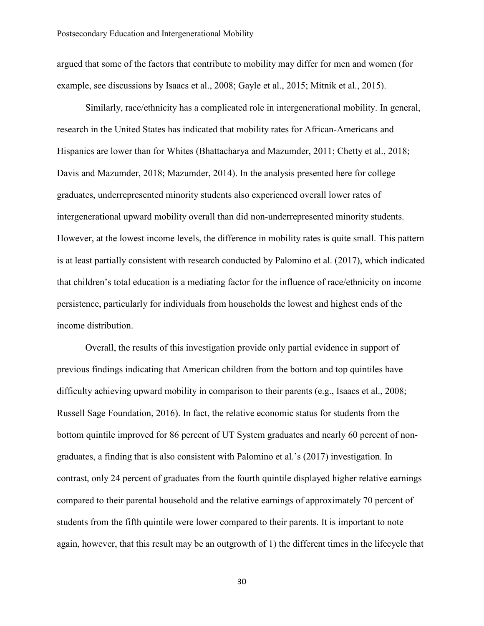argued that some of the factors that contribute to mobility may differ for men and women (for example, see discussions by Isaacs et al., 2008; Gayle et al., 2015; Mitnik et al., 2015).

Similarly, race/ethnicity has a complicated role in intergenerational mobility. In general, research in the United States has indicated that mobility rates for African-Americans and Hispanics are lower than for Whites (Bhattacharya and Mazumder, 2011; Chetty et al., 2018; Davis and Mazumder, 2018; Mazumder, 2014). In the analysis presented here for college graduates, underrepresented minority students also experienced overall lower rates of intergenerational upward mobility overall than did non-underrepresented minority students. However, at the lowest income levels, the difference in mobility rates is quite small. This pattern is at least partially consistent with research conducted by Palomino et al. (2017), which indicated that children's total education is a mediating factor for the influence of race/ethnicity on income persistence, particularly for individuals from households the lowest and highest ends of the income distribution.

Overall, the results of this investigation provide only partial evidence in support of previous findings indicating that American children from the bottom and top quintiles have difficulty achieving upward mobility in comparison to their parents (e.g., Isaacs et al., 2008; Russell Sage Foundation, 2016). In fact, the relative economic status for students from the bottom quintile improved for 86 percent of UT System graduates and nearly 60 percent of nongraduates, a finding that is also consistent with Palomino et al.'s (2017) investigation. In contrast, only 24 percent of graduates from the fourth quintile displayed higher relative earnings compared to their parental household and the relative earnings of approximately 70 percent of students from the fifth quintile were lower compared to their parents. It is important to note again, however, that this result may be an outgrowth of 1) the different times in the lifecycle that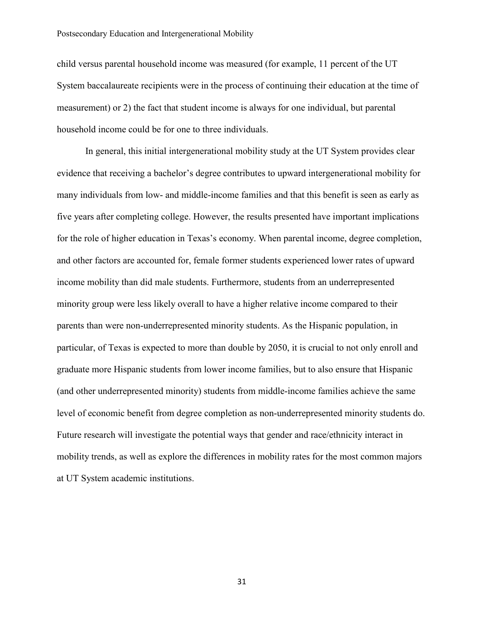child versus parental household income was measured (for example, 11 percent of the UT System baccalaureate recipients were in the process of continuing their education at the time of measurement) or 2) the fact that student income is always for one individual, but parental household income could be for one to three individuals.

In general, this initial intergenerational mobility study at the UT System provides clear evidence that receiving a bachelor's degree contributes to upward intergenerational mobility for many individuals from low- and middle-income families and that this benefit is seen as early as five years after completing college. However, the results presented have important implications for the role of higher education in Texas's economy. When parental income, degree completion, and other factors are accounted for, female former students experienced lower rates of upward income mobility than did male students. Furthermore, students from an underrepresented minority group were less likely overall to have a higher relative income compared to their parents than were non-underrepresented minority students. As the Hispanic population, in particular, of Texas is expected to more than double by 2050, it is crucial to not only enroll and graduate more Hispanic students from lower income families, but to also ensure that Hispanic (and other underrepresented minority) students from middle-income families achieve the same level of economic benefit from degree completion as non-underrepresented minority students do. Future research will investigate the potential ways that gender and race/ethnicity interact in mobility trends, as well as explore the differences in mobility rates for the most common majors at UT System academic institutions.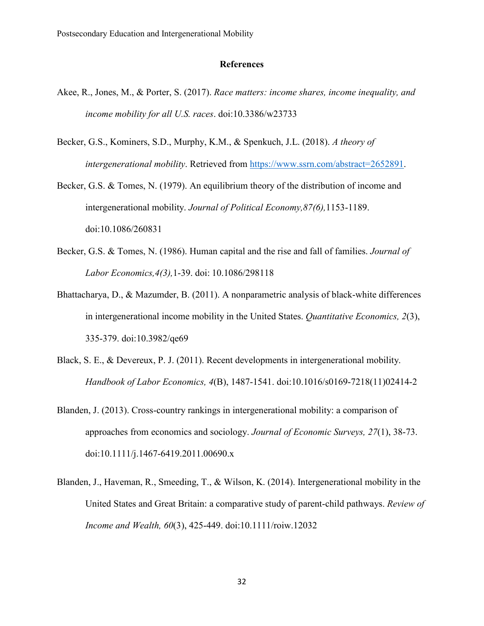## **References**

- Akee, R., Jones, M., & Porter, S. (2017). *Race matters: income shares, income inequality, and income mobility for all U.S. races*. doi:10.3386/w23733
- Becker, G.S., Kominers, S.D., Murphy, K.M., & Spenkuch, J.L. (2018). *A theory of intergenerational mobility*. Retrieved from [https://www.ssrn.com/abstract=2652891.](https://www.ssrn.com/abstract=2652891)
- Becker, G.S. & Tomes, N. (1979). An equilibrium theory of the distribution of income and intergenerational mobility. *Journal of Political Economy,87(6),*1153-1189. doi:10.1086/260831
- Becker, G.S. & Tomes, N. (1986). Human capital and the rise and fall of families. *Journal of Labor Economics,4(3),*1-39. doi: 10.1086/298118
- Bhattacharya, D., & Mazumder, B. (2011). A nonparametric analysis of black-white differences in intergenerational income mobility in the United States. *Quantitative Economics, 2*(3), 335-379. doi:10.3982/qe69
- Black, S. E., & Devereux, P. J. (2011). Recent developments in intergenerational mobility. *Handbook of Labor Economics, 4*(B), 1487-1541. doi:10.1016/s0169-7218(11)02414-2
- Blanden, J. (2013). Cross-country rankings in intergenerational mobility: a comparison of approaches from economics and sociology. *Journal of Economic Surveys, 27*(1), 38-73. doi:10.1111/j.1467-6419.2011.00690.x
- Blanden, J., Haveman, R., Smeeding, T., & Wilson, K. (2014). Intergenerational mobility in the United States and Great Britain: a comparative study of parent-child pathways. *Review of Income and Wealth, 60*(3), 425-449. doi:10.1111/roiw.12032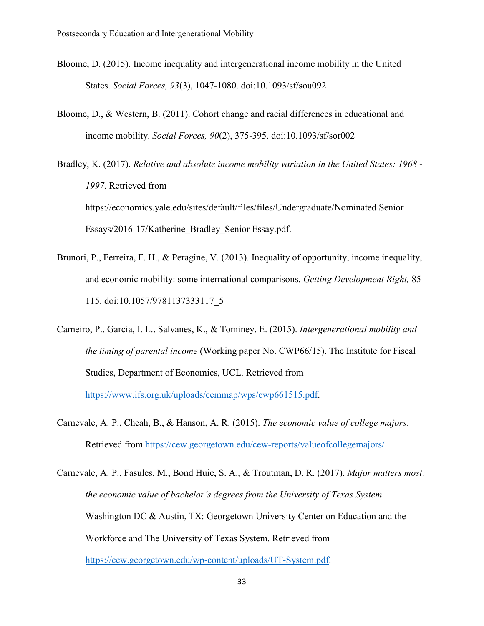- Bloome, D. (2015). Income inequality and intergenerational income mobility in the United States. *Social Forces, 93*(3), 1047-1080. doi:10.1093/sf/sou092
- Bloome, D., & Western, B. (2011). Cohort change and racial differences in educational and income mobility. *Social Forces, 90*(2), 375-395. doi:10.1093/sf/sor002
- Bradley, K. (2017). *Relative and absolute income mobility variation in the United States: 1968 - 1997*. Retrieved from https://economics.yale.edu/sites/default/files/files/Undergraduate/Nominated Senior Essays/2016-17/Katherine\_Bradley\_Senior Essay.pdf.
- Brunori, P., Ferreira, F. H., & Peragine, V. (2013). Inequality of opportunity, income inequality, and economic mobility: some international comparisons. *Getting Development Right,* 85- 115. doi:10.1057/9781137333117\_5
- Carneiro, P., Garcia, I. L., Salvanes, K., & Tominey, E. (2015). *Intergenerational mobility and the timing of parental income* (Working paper No. CWP66/15). The Institute for Fiscal Studies, Department of Economics, UCL. Retrieved from [https://www.ifs.org.uk/uploads/cemmap/wps/cwp661515.pdf.](https://www.ifs.org.uk/uploads/cemmap/wps/cwp661515.pdf)
- Carnevale, A. P., Cheah, B., & Hanson, A. R. (2015). *The economic value of college majors*. Retrieved from<https://cew.georgetown.edu/cew-reports/valueofcollegemajors/>
- Carnevale, A. P., Fasules, M., Bond Huie, S. A., & Troutman, D. R. (2017). *Major matters most: the economic value of bachelor's degrees from the University of Texas System*. Washington DC & Austin, TX: Georgetown University Center on Education and the Workforce and The University of Texas System. Retrieved from [https://cew.georgetown.edu/wp-content/uploads/UT-System.pdf.](https://cew.georgetown.edu/wp-content/uploads/UT-System.pdf)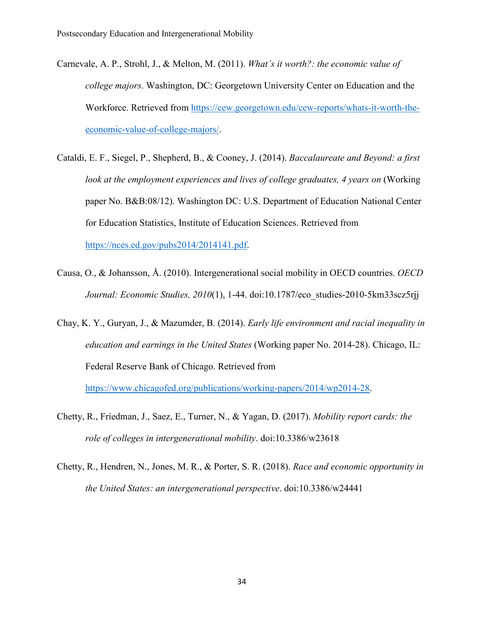- Carnevale, A. P., Strohl, J., & Melton, M. (2011). *What's it worth?: the economic value of college majors*. Washington, DC: Georgetown University Center on Education and the Workforce. Retrieved from [https://cew.georgetown.edu/cew-reports/whats-it-worth-the](https://cew.georgetown.edu/cew-reports/whats-it-worth-the-economic-value-of-college-majors/)[economic-value-of-college-majors/.](https://cew.georgetown.edu/cew-reports/whats-it-worth-the-economic-value-of-college-majors/)
- Cataldi, E. F., Siegel, P., Shepherd, B., & Cooney, J. (2014). *Baccalaureate and Beyond: a first look at the employment experiences and lives of college graduates, 4 years on* (Working paper No. B&B:08/12). Washington DC: U.S. Department of Education National Center for Education Statistics, Institute of Education Sciences. Retrieved from [https://nces.ed.gov/pubs2014/2014141.pdf.](https://nces.ed.gov/pubs2014/2014141.pdf)
- Causa, O., & Johansson, Å. (2010). Intergenerational social mobility in OECD countries. *OECD Journal: Economic Studies, 2010*(1), 1-44. doi:10.1787/eco\_studies-2010-5km33scz5rjj
- Chay, K. Y., Guryan, J., & Mazumder, B. (2014). *Early life environment and racial inequality in education and earnings in the United States* (Working paper No. 2014-28). Chicago, IL: Federal Reserve Bank of Chicago. Retrieved from

[https://www.chicagofed.org/publications/working-papers/2014/wp2014-28.](https://www.chicagofed.org/publications/working-papers/2014/wp2014-28)

- Chetty, R., Friedman, J., Saez, E., Turner, N., & Yagan, D. (2017). *Mobility report cards: the role of colleges in intergenerational mobility*. doi:10.3386/w23618
- Chetty, R., Hendren, N., Jones, M. R., & Porter, S. R. (2018). *Race and economic opportunity in the United States: an intergenerational perspective*. doi:10.3386/w24441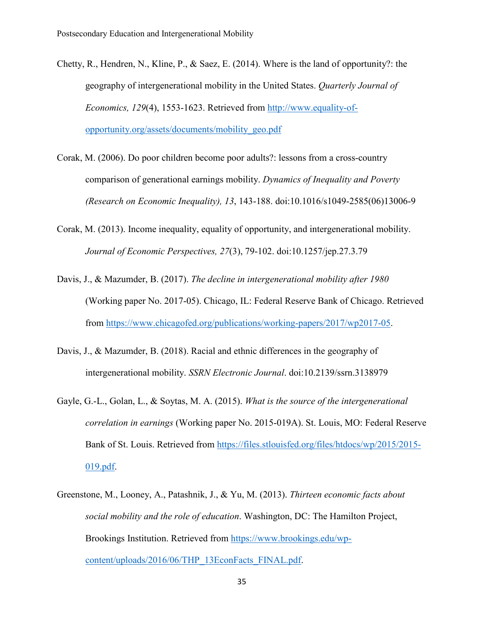- Chetty, R., Hendren, N., Kline, P., & Saez, E. (2014). Where is the land of opportunity?: the geography of intergenerational mobility in the United States. *Quarterly Journal of Economics, 129*(4), 1553-1623. Retrieved from [http://www.equality-of](http://www.equality-of-opportunity.org/assets/documents/mobility_geo.pdf)[opportunity.org/assets/documents/mobility\\_geo.pdf](http://www.equality-of-opportunity.org/assets/documents/mobility_geo.pdf)
- Corak, M. (2006). Do poor children become poor adults?: lessons from a cross-country comparison of generational earnings mobility. *Dynamics of Inequality and Poverty (Research on Economic Inequality), 13*, 143-188. doi:10.1016/s1049-2585(06)13006-9
- Corak, M. (2013). Income inequality, equality of opportunity, and intergenerational mobility. *Journal of Economic Perspectives, 27*(3), 79-102. doi:10.1257/jep.27.3.79
- Davis, J., & Mazumder, B. (2017). *The decline in intergenerational mobility after 1980* (Working paper No. 2017-05). Chicago, IL: Federal Reserve Bank of Chicago. Retrieved from [https://www.chicagofed.org/publications/working-papers/2017/wp2017-05.](https://www.chicagofed.org/publications/working-papers/2017/wp2017-05)
- Davis, J., & Mazumder, B. (2018). Racial and ethnic differences in the geography of intergenerational mobility. *SSRN Electronic Journal*. doi:10.2139/ssrn.3138979
- Gayle, G.-L., Golan, L., & Soytas, M. A. (2015). *What is the source of the intergenerational correlation in earnings* (Working paper No. 2015-019A). St. Louis, MO: Federal Reserve Bank of St. Louis. Retrieved from [https://files.stlouisfed.org/files/htdocs/wp/2015/2015-](https://files.stlouisfed.org/files/htdocs/wp/2015/2015-019.pdf) [019.pdf.](https://files.stlouisfed.org/files/htdocs/wp/2015/2015-019.pdf)
- Greenstone, M., Looney, A., Patashnik, J., & Yu, M. (2013). *Thirteen economic facts about social mobility and the role of education*. Washington, DC: The Hamilton Project, Brookings Institution. Retrieved from [https://www.brookings.edu/wp](https://www.brookings.edu/wp-content/uploads/2016/06/THP_13EconFacts_FINAL.pdf)[content/uploads/2016/06/THP\\_13EconFacts\\_FINAL.pdf.](https://www.brookings.edu/wp-content/uploads/2016/06/THP_13EconFacts_FINAL.pdf)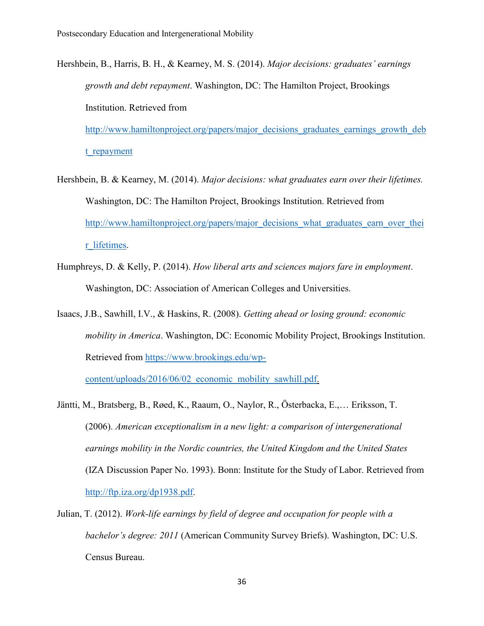Hershbein, B., Harris, B. H., & Kearney, M. S. (2014). *Major decisions: graduates' earnings growth and debt repayment*. Washington, DC: The Hamilton Project, Brookings Institution. Retrieved from [http://www.hamiltonproject.org/papers/major\\_decisions\\_graduates\\_earnings\\_growth\\_deb](http://www.hamiltonproject.org/papers/major_decisions_graduates_earnings_growth_debt_repayment)

t repayment

- Hershbein, B. & Kearney, M. (2014). *Major decisions: what graduates earn over their lifetimes.* Washington, DC: The Hamilton Project, Brookings Institution. Retrieved from [http://www.hamiltonproject.org/papers/major\\_decisions\\_what\\_graduates\\_earn\\_over\\_thei](http://www.hamiltonproject.org/papers/major_decisions_what_graduates_earn_over_their_lifetimes) r lifetimes.
- Humphreys, D. & Kelly, P. (2014). *How liberal arts and sciences majors fare in employment*. Washington, DC: Association of American Colleges and Universities.
- Isaacs, J.B., Sawhill, I.V., & Haskins, R. (2008). *Getting ahead or losing ground: economic mobility in America*. Washington, DC: Economic Mobility Project, Brookings Institution. Retrieved from [https://www.brookings.edu/wp-](https://www.brookings.edu/wp-content/uploads/2016/06/02_economic_mobility_sawhill.pdf)

content/uploads/2016/06/02 economic mobility sawhill.pdf.

- Jäntti, M., Bratsberg, B., Røed, K., Raaum, O., Naylor, R., Österbacka, E.,… Eriksson, T. (2006). *American exceptionalism in a new light: a comparison of intergenerational earnings mobility in the Nordic countries, the United Kingdom and the United States* (IZA Discussion Paper No. 1993). Bonn: Institute for the Study of Labor. Retrieved from [http://ftp.iza.org/dp1938.pdf.](http://ftp.iza.org/dp1938.pdf)
- Julian, T. (2012). *Work-life earnings by field of degree and occupation for people with a bachelor's degree: 2011* (American Community Survey Briefs). Washington, DC: U.S. Census Bureau.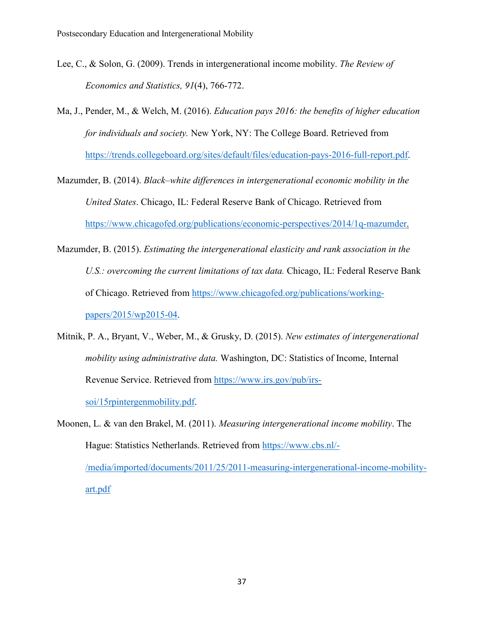- Lee, C., & Solon, G. (2009). Trends in intergenerational income mobility. *The Review of Economics and Statistics, 91*(4), 766-772.
- Ma, J., Pender, M., & Welch, M. (2016). *Education pays 2016: the benefits of higher education for individuals and society.* New York, NY: The College Board. Retrieved from [https://trends.collegeboard.org/sites/default/files/education-pays-2016-full-report.pdf.](https://trends.collegeboard.org/sites/default/files/education-pays-2016-full-report.pdf)
- Mazumder, B. (2014). *Black–white differences in intergenerational economic mobility in the United States*. Chicago, IL: Federal Reserve Bank of Chicago. Retrieved from [https://www.chicagofed.org/publications/economic-perspectives/2014/1q-mazumder.](https://www.chicagofed.org/publications/economic-perspectives/2014/1q-mazumder)
- Mazumder, B. (2015). *Estimating the intergenerational elasticity and rank association in the U.S.: overcoming the current limitations of tax data.* Chicago, IL: Federal Reserve Bank of Chicago. Retrieved from [https://www.chicagofed.org/publications/working](https://www.chicagofed.org/publications/working-papers/2015/wp2015-04)[papers/2015/wp2015-04.](https://www.chicagofed.org/publications/working-papers/2015/wp2015-04)
- Mitnik, P. A., Bryant, V., Weber, M., & Grusky, D. (2015). *New estimates of intergenerational mobility using administrative data.* Washington, DC: Statistics of Income, Internal Revenue Service. Retrieved from [https://www.irs.gov/pub/irs-](https://www.irs.gov/pub/irs-soi/15rpintergenmobility.pdf)

[soi/15rpintergenmobility.pdf.](https://www.irs.gov/pub/irs-soi/15rpintergenmobility.pdf)

Moonen, L. & van den Brakel, M. (2011). *Measuring intergenerational income mobility*. The Hague: Statistics Netherlands. Retrieved from [https://www.cbs.nl/-](https://www.cbs.nl/-/media/imported/documents/2011/25/2011-measuring-intergenerational-income-mobility-art.pdf) [/media/imported/documents/2011/25/2011-measuring-intergenerational-income-mobility](https://www.cbs.nl/-/media/imported/documents/2011/25/2011-measuring-intergenerational-income-mobility-art.pdf)[art.pdf](https://www.cbs.nl/-/media/imported/documents/2011/25/2011-measuring-intergenerational-income-mobility-art.pdf)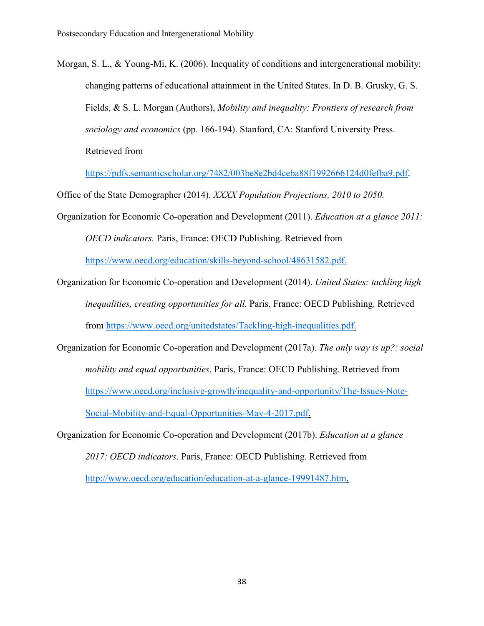Morgan, S. L., & Young-Mi, K. (2006). Inequality of conditions and intergenerational mobility: changing patterns of educational attainment in the United States. In D. B. Grusky, G. S. Fields, & S. L. Morgan (Authors), *Mobility and inequality: Frontiers of research from sociology and economics* (pp. 166-194). Stanford, CA: Stanford University Press. Retrieved from

[https://pdfs.semanticscholar.org/7482/003be8e2bd4ceba88f1992666124d0fefba9.pdf.](https://pdfs.semanticscholar.org/7482/003be8e2bd4ceba88f1992666124d0fefba9.pdf)

Office of the State Demographer (2014). *XXXX Population Projections, 2010 to 2050.*

- Organization for Economic Co-operation and Development (2011). *Education at a glance 2011: OECD indicators.* Paris, France: OECD Publishing. Retrieved from [https://www.oecd.org/education/skills-beyond-school/48631582.pdf.](https://www.oecd.org/education/skills-beyond-school/48631582.pdf)
- Organization for Economic Co-operation and Development (2014). *United States: tackling high inequalities, creating opportunities for all.* Paris, France: OECD Publishing. Retrieved from [https://www.oecd.org/unitedstates/Tackling-high-inequalities.pdf.](https://www.oecd.org/unitedstates/Tackling-high-inequalities.pdf)
- Organization for Economic Co-operation and Development (2017a). *The only way is up?: social mobility and equal opportunities*. Paris, France: OECD Publishing. Retrieved from https://www.oecd.org/inclusive-growth/inequality-and-opportunity/The-Issues-Note-Social-Mobility-and-Equal-Opportunities-May-4-2017.pdf.
- Organization for Economic Co-operation and Development (2017b). *Education at a glance 2017: OECD indicators*. Paris, France: OECD Publishing. Retrieved from [http://www.oecd.org/education/education-at-a-glance-19991487.htm.](http://www.oecd.org/education/education-at-a-glance-19991487.htm)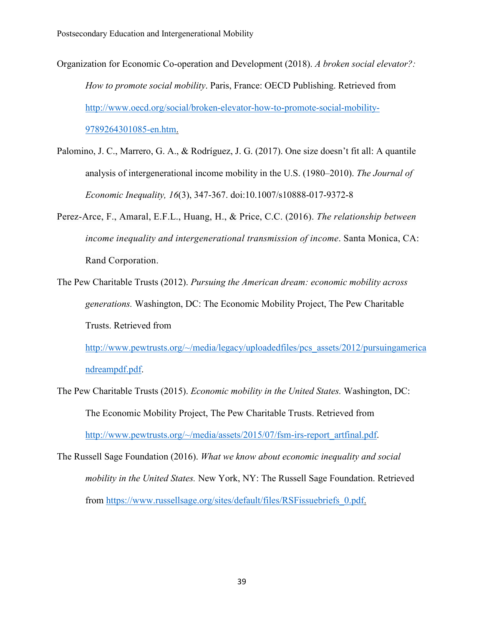- Organization for Economic Co-operation and Development (2018). *A broken social elevator?: How to promote social mobility*. Paris, France: OECD Publishing. Retrieved from http://www.oecd.org/social/broken-elevator-how-to-promote-social-mobility-9789264301085-en.htm.
- Palomino, J. C., Marrero, G. A., & Rodríguez, J. G. (2017). One size doesn't fit all: A quantile analysis of intergenerational income mobility in the U.S. (1980–2010). *The Journal of Economic Inequality, 16*(3), 347-367. doi:10.1007/s10888-017-9372-8
- Perez-Arce, F., Amaral, E.F.L., Huang, H., & Price, C.C. (2016). *The relationship between income inequality and intergenerational transmission of income*. Santa Monica, CA: Rand Corporation.
- The Pew Charitable Trusts (2012). *Pursuing the American dream: economic mobility across generations.* Washington, DC: The Economic Mobility Project, The Pew Charitable Trusts. Retrieved from

[http://www.pewtrusts.org/~/media/legacy/uploadedfiles/pcs\\_assets/2012/pursuingamerica](http://www.pewtrusts.org/%7E/media/legacy/uploadedfiles/pcs_assets/2012/pursuingamericandreampdf.pdf) [ndreampdf.pdf.](http://www.pewtrusts.org/%7E/media/legacy/uploadedfiles/pcs_assets/2012/pursuingamericandreampdf.pdf)

- The Pew Charitable Trusts (2015). *Economic mobility in the United States.* Washington, DC: The Economic Mobility Project, The Pew Charitable Trusts. Retrieved from [http://www.pewtrusts.org/~/media/assets/2015/07/fsm-irs-report\\_artfinal.pdf.](http://www.pewtrusts.org/%7E/media/assets/2015/07/fsm-irs-report_artfinal.pdf)
- The Russell Sage Foundation (2016). *What we know about economic inequality and social mobility in the United States.* New York, NY: The Russell Sage Foundation. Retrieved from [https://www.russellsage.org/sites/default/files/RSFissuebriefs\\_0.pdf.](https://www.russellsage.org/sites/default/files/RSFissuebriefs_0.pdf)